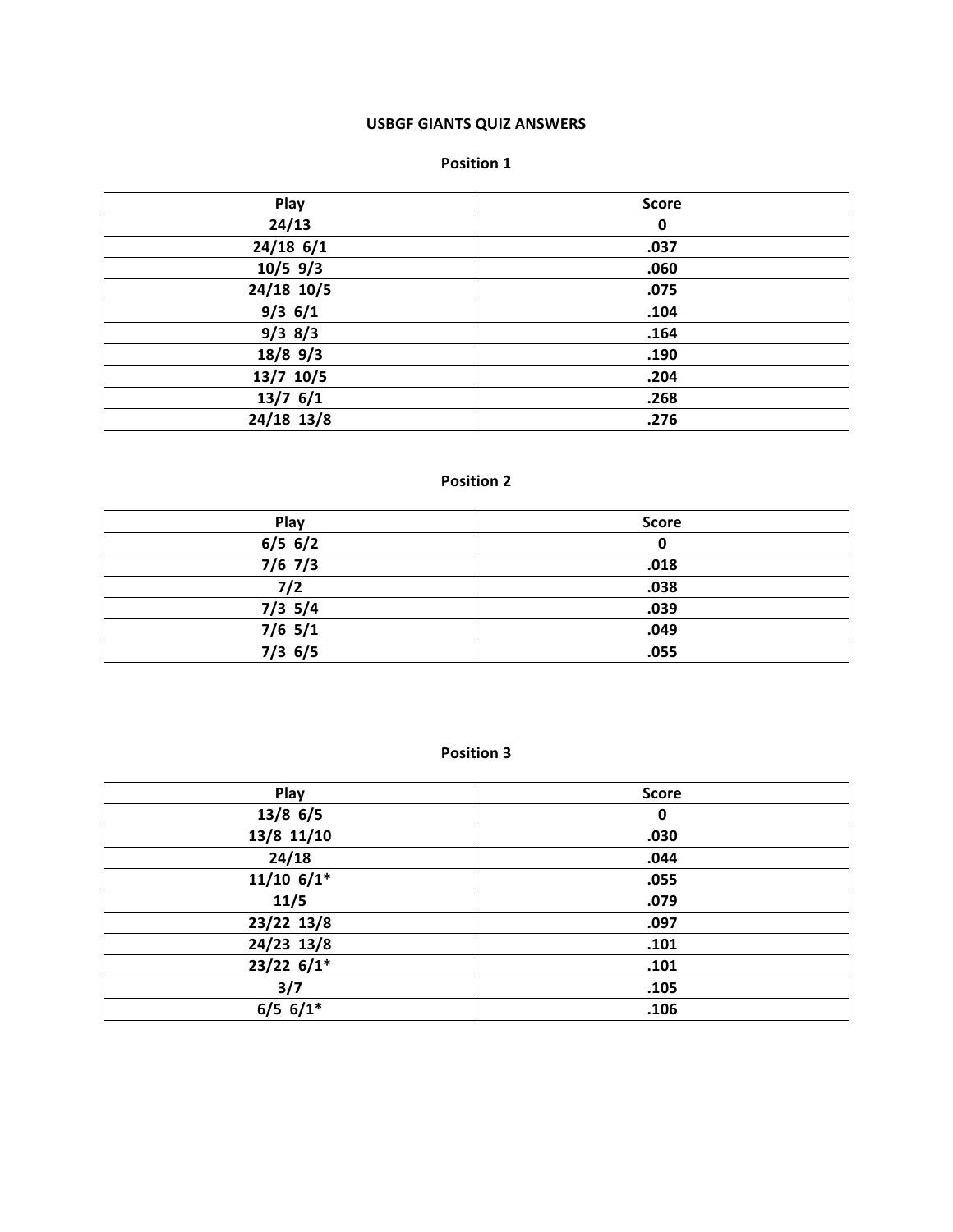# **USBGF GIANTS QUIZ ANSWERS**

#### **Position 1**

| Play        | <b>Score</b> |
|-------------|--------------|
| 24/13       | $\mathbf 0$  |
| $24/18$ 6/1 | .037         |
| $10/5$ 9/3  | .060         |
| 24/18 10/5  | .075         |
| $9/3$ 6/1   | .104         |
| $9/3$ 8/3   | .164         |
| $18/8$ 9/3  | .190         |
| 13/7 10/5   | .204         |
| $13/7$ 6/1  | .268         |
| 24/18 13/8  | .276         |

# **Position 2**

| Play      | <b>Score</b> |
|-----------|--------------|
| $6/5$ 6/2 | 0            |
| $7/6$ 7/3 | .018         |
| 7/2       | .038         |
| $7/3$ 5/4 | .039         |
| $7/6$ 5/1 | .049         |
| $7/3$ 6/5 | .055         |

| Play         | <b>Score</b> |
|--------------|--------------|
| $13/8$ 6/5   | $\mathbf 0$  |
| 13/8 11/10   | .030         |
| 24/18        | .044         |
| $11/10$ 6/1* | .055         |
| 11/5         | .079         |
| 23/22 13/8   | .097         |
| 24/23 13/8   | .101         |
| $23/22$ 6/1* | .101         |
| 3/7          | .105         |
| $6/5$ 6/1*   | .106         |
|              |              |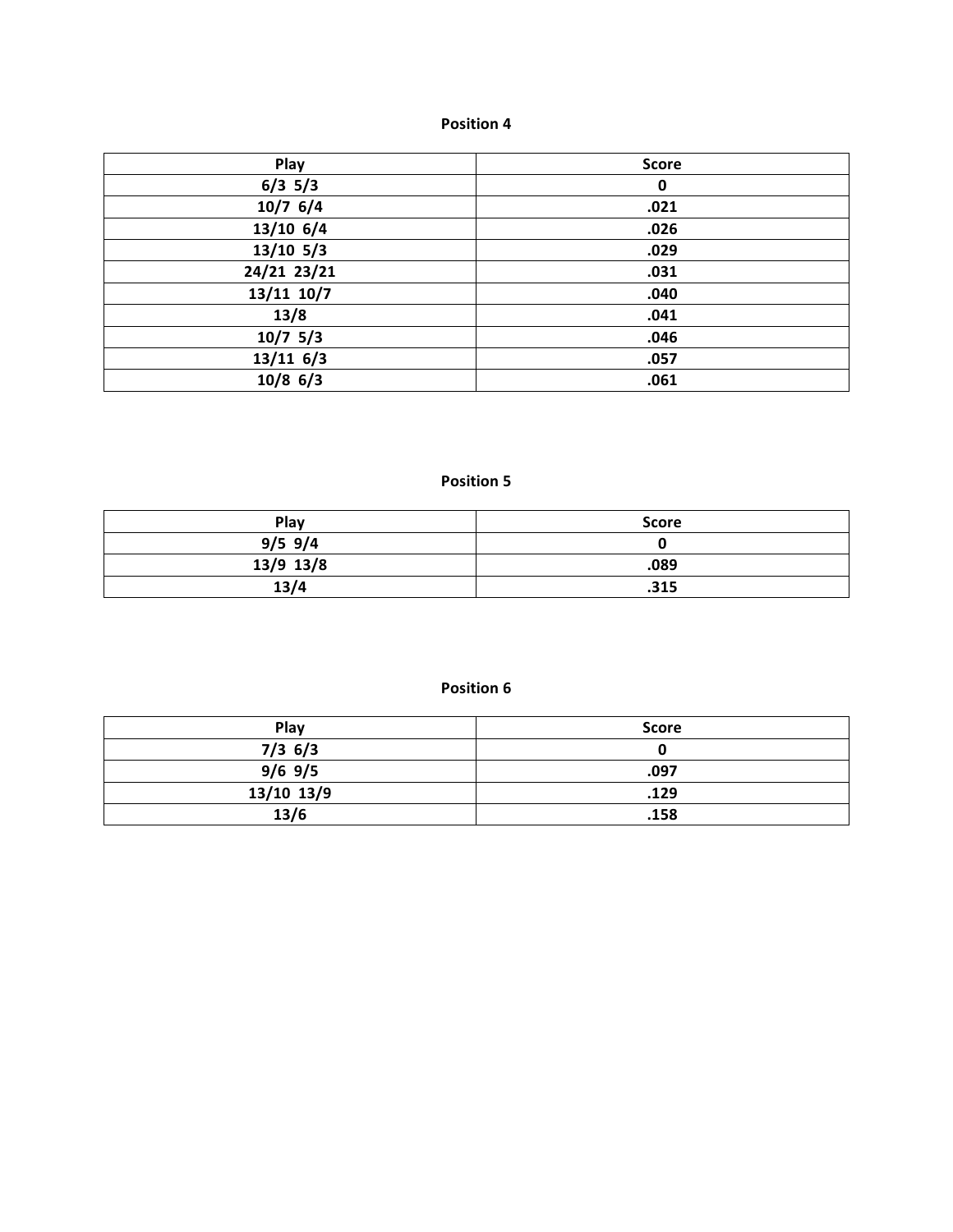| Play        | <b>Score</b> |
|-------------|--------------|
| $6/3$ 5/3   | $\mathbf 0$  |
| $10/7$ 6/4  | .021         |
| $13/10$ 6/4 | .026         |
| $13/10$ 5/3 | .029         |
| 24/21 23/21 | .031         |
| 13/11 10/7  | .040         |
| 13/8        | .041         |
| $10/7$ 5/3  | .046         |
| 13/116/3    | .057         |
| $10/8$ 6/3  | .061         |

## **Position 5**

| Play      | Score |
|-----------|-------|
| $9/5$ 9/4 |       |
| 13/9 13/8 | .089  |
| 13/4      | .315  |

| Play       | <b>Score</b> |
|------------|--------------|
| $7/3$ 6/3  | u            |
| $9/6$ 9/5  | .097         |
| 13/10 13/9 | .129         |
| 13/6       | .158         |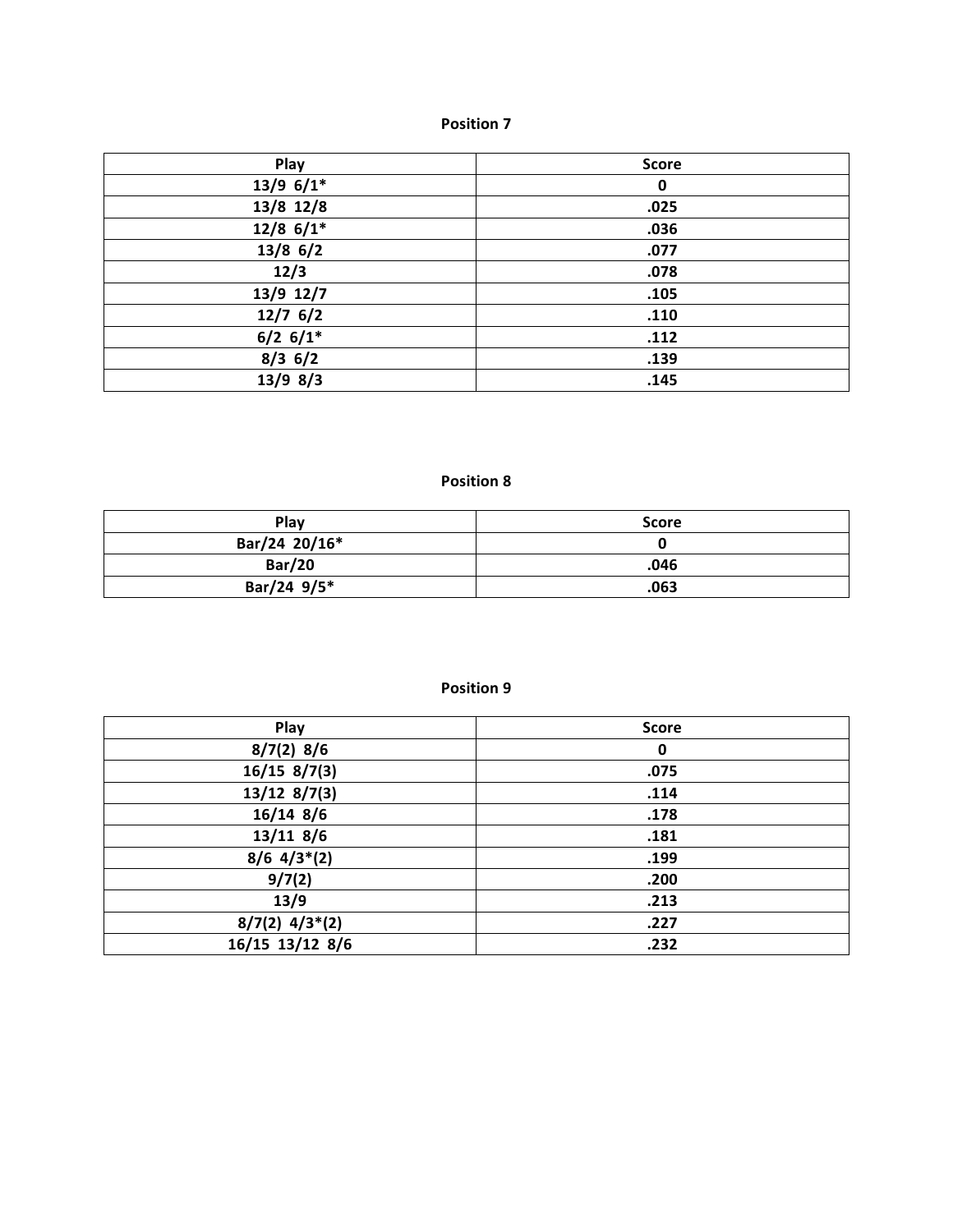| Play        | <b>Score</b> |
|-------------|--------------|
| $13/9$ 6/1* | $\mathbf 0$  |
| 13/8 12/8   | .025         |
| $12/8$ 6/1* | .036         |
| $13/8$ 6/2  | .077         |
| 12/3        | .078         |
| 13/9 12/7   | .105         |
| $12/7$ 6/2  | .110         |
| $6/2$ 6/1*  | .112         |
| $8/3$ 6/2   | .139         |
| $13/9$ 8/3  | .145         |

## **Position 8**

| <b>Play</b>   | Score |
|---------------|-------|
| Bar/24 20/16* |       |
| <b>Bar/20</b> | .046  |
| Bar/24 9/5*   | .063  |

| Play             | <b>Score</b> |
|------------------|--------------|
| $8/7(2)$ 8/6     | 0            |
| $16/15$ 8/7(3)   | .075         |
| $13/12$ 8/7(3)   | .114         |
| $16/14$ 8/6      | .178         |
| $13/11$ 8/6      | .181         |
| $8/6$ 4/3*(2)    | .199         |
| 9/7(2)           | .200         |
| 13/9             | .213         |
| $8/7(2)$ 4/3*(2) | .227         |
| 16/15 13/12 8/6  | .232         |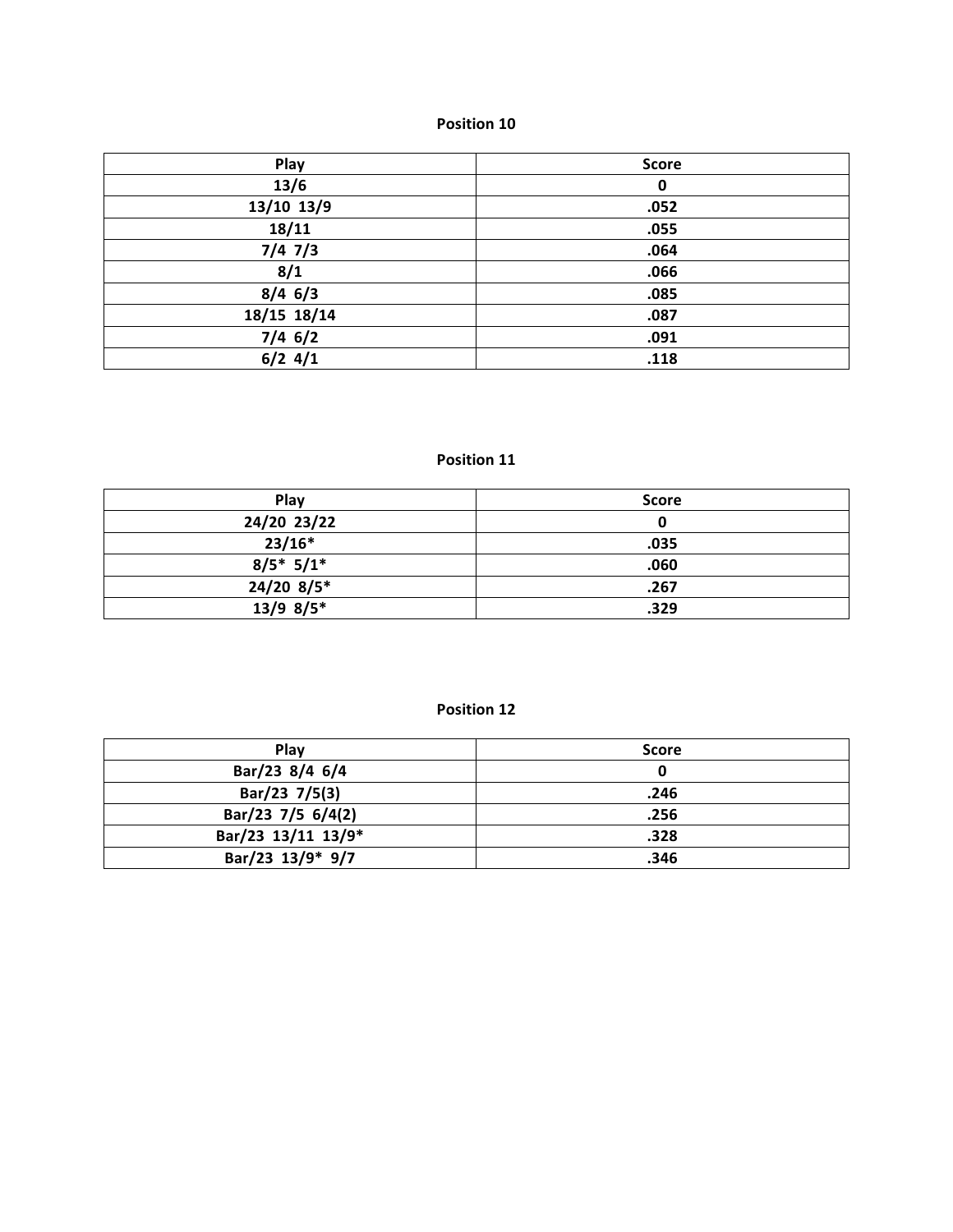| Play        | <b>Score</b> |
|-------------|--------------|
| 13/6        | $\mathbf 0$  |
| 13/10 13/9  | .052         |
| 18/11       | .055         |
| $7/4$ $7/3$ | .064         |
| 8/1         | .066         |
| $8/4$ 6/3   | .085         |
| 18/15 18/14 | .087         |
| $7/4$ 6/2   | .091         |
| $6/2$ 4/1   | .118         |

## **Position 11**

| Play         | <b>Score</b> |
|--------------|--------------|
| 24/20 23/22  |              |
| $23/16*$     | .035         |
| $8/5$ * 5/1* | .060         |
| $24/20$ 8/5* | .267         |
| $13/9$ 8/5*  | .329         |

| Play               | <b>Score</b> |
|--------------------|--------------|
| Bar/23 8/4 6/4     | 0            |
| Bar/23 7/5(3)      | .246         |
| Bar/23 7/5 6/4(2)  | .256         |
| Bar/23 13/11 13/9* | .328         |
| Bar/23 13/9* 9/7   | .346         |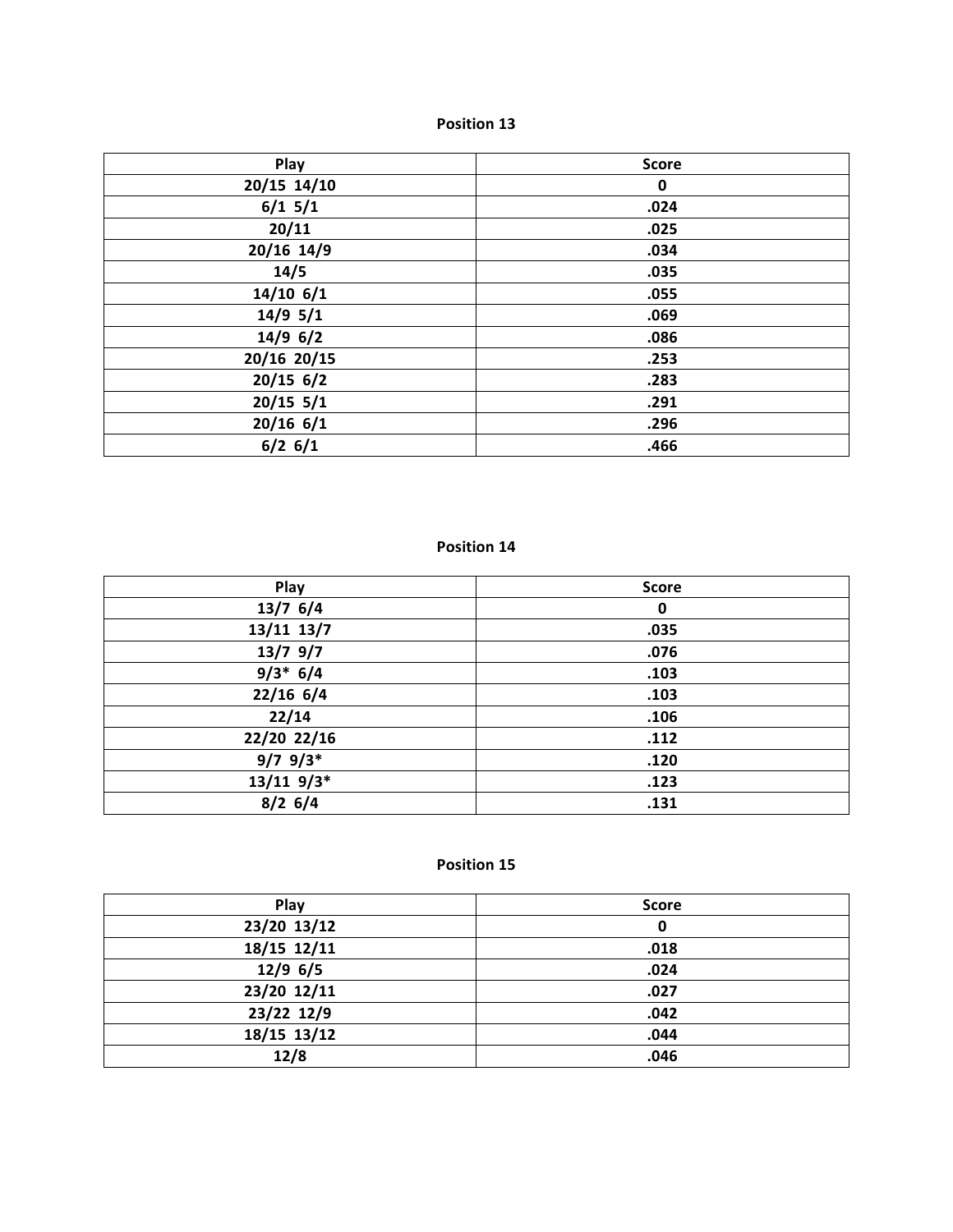| Play        | <b>Score</b> |
|-------------|--------------|
| 20/15 14/10 | $\mathbf 0$  |
| $6/1$ 5/1   | .024         |
| 20/11       | .025         |
| 20/16 14/9  | .034         |
| 14/5        | .035         |
| $14/10$ 6/1 | .055         |
| $14/9$ 5/1  | .069         |
| $14/9$ 6/2  | .086         |
| 20/16 20/15 | .253         |
| $20/15$ 6/2 | .283         |
| $20/15$ 5/1 | .291         |
| $20/16$ 6/1 | .296         |
| $6/2$ 6/1   | .466         |

#### **Position 14**

| Play         | <b>Score</b> |
|--------------|--------------|
| $13/7$ 6/4   | 0            |
| 13/11 13/7   | .035         |
| $13/7$ 9/7   | .076         |
| $9/3* 6/4$   | .103         |
| $22/16$ 6/4  | .103         |
| 22/14        | .106         |
| 22/20 22/16  | .112         |
| $9/7$ $9/3*$ | .120         |
| $13/11$ 9/3* | .123         |
| $8/2$ 6/4    | .131         |

| Play        | <b>Score</b> |
|-------------|--------------|
| 23/20 13/12 | 0            |
| 18/15 12/11 | .018         |
| $12/9$ 6/5  | .024         |
| 23/20 12/11 | .027         |
| 23/22 12/9  | .042         |
| 18/15 13/12 | .044         |
| 12/8        | .046         |